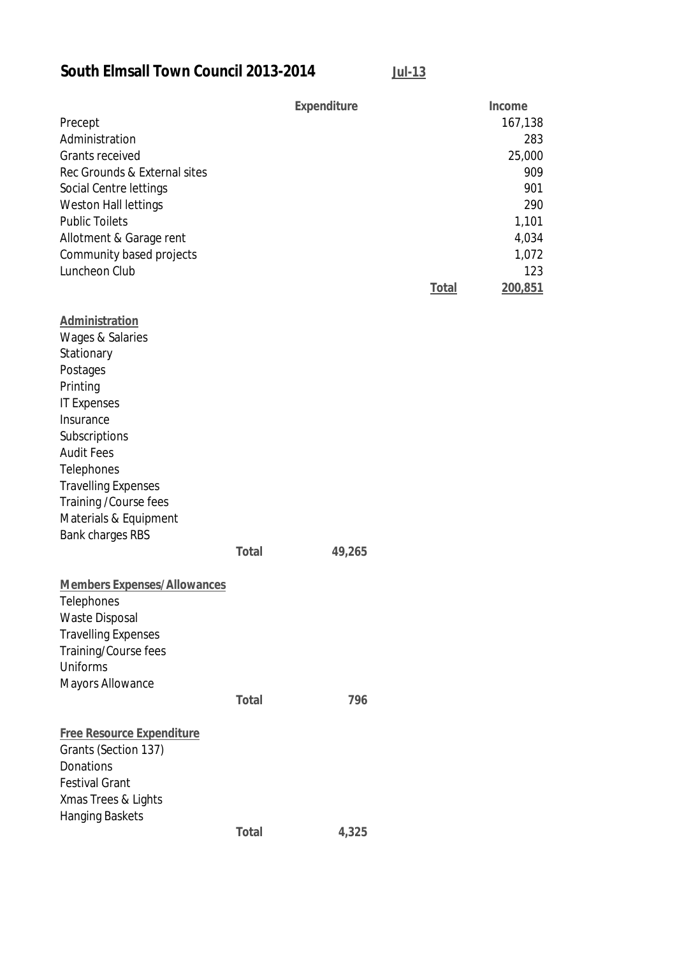**South Elmsall Town Council 2013-2014 Jul-13**

|                                    |              | <b>Expenditure</b> |              | Income  |
|------------------------------------|--------------|--------------------|--------------|---------|
| Precept                            |              |                    |              | 167,138 |
| Administration                     |              |                    |              | 283     |
| <b>Grants received</b>             |              |                    |              | 25,000  |
| Rec Grounds & External sites       |              |                    |              | 909     |
| Social Centre lettings             |              |                    |              | 901     |
| Weston Hall lettings               |              |                    |              | 290     |
| <b>Public Toilets</b>              |              |                    |              | 1,101   |
| Allotment & Garage rent            |              |                    |              | 4,034   |
| Community based projects           |              |                    |              | 1,072   |
| Luncheon Club                      |              |                    |              | 123     |
|                                    |              |                    | <b>Total</b> | 200,851 |
| Administration                     |              |                    |              |         |
| Wages & Salaries                   |              |                    |              |         |
| Stationary                         |              |                    |              |         |
| Postages                           |              |                    |              |         |
| Printing                           |              |                    |              |         |
| <b>IT Expenses</b>                 |              |                    |              |         |
| Insurance                          |              |                    |              |         |
| Subscriptions                      |              |                    |              |         |
| <b>Audit Fees</b>                  |              |                    |              |         |
| Telephones                         |              |                    |              |         |
| <b>Travelling Expenses</b>         |              |                    |              |         |
| Training / Course fees             |              |                    |              |         |
| Materials & Equipment              |              |                    |              |         |
| <b>Bank charges RBS</b>            | <b>Total</b> | 49,265             |              |         |
|                                    |              |                    |              |         |
| <b>Members Expenses/Allowances</b> |              |                    |              |         |
| Telephones                         |              |                    |              |         |
| <b>Waste Disposal</b>              |              |                    |              |         |
| <b>Travelling Expenses</b>         |              |                    |              |         |
| Training/Course fees               |              |                    |              |         |
| Uniforms                           |              |                    |              |         |
| <b>Mayors Allowance</b>            |              |                    |              |         |
|                                    | <b>Total</b> | 796                |              |         |
| <b>Free Resource Expenditure</b>   |              |                    |              |         |
| Grants (Section 137)               |              |                    |              |         |
| Donations                          |              |                    |              |         |
| <b>Festival Grant</b>              |              |                    |              |         |
| Xmas Trees & Lights                |              |                    |              |         |
| <b>Hanging Baskets</b>             |              |                    |              |         |
|                                    | <b>Total</b> | 4,325              |              |         |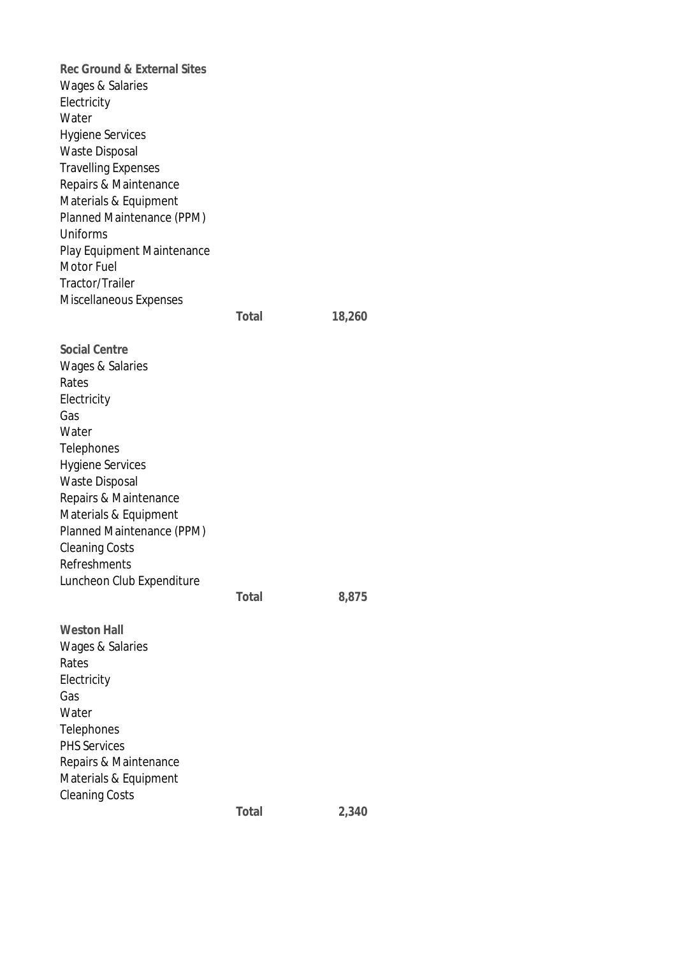**Rec Ground & External Sites** Wages & Salaries Electricity Water Hygiene Services Waste Disposal Travelling Expenses Repairs & Maintenance Materials & Equipment Planned Maintenance (PPM) Uniforms Play Equipment Maintenance Motor Fuel Tractor/Trailer Miscellaneous Expenses **Total 18,260 Social Centre** Wages & Salaries Rates **Electricity** Gas Water Telephones Hygiene Services Waste Disposal Repairs & Maintenance Materials & Equipment Planned Maintenance (PPM) Cleaning Costs Refreshments Luncheon Club Expenditure **Total 8,875 Weston Hall** Wages & Salaries Rates Electricity Gas Water Telephones PHS Services Repairs & Maintenance Materials & Equipment Cleaning Costs **Total 2,340**